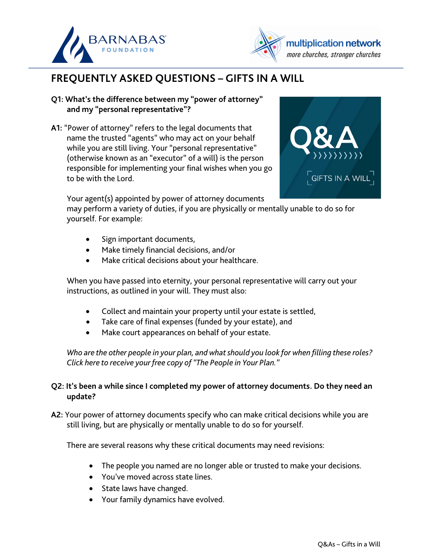



## **FREQUENTLY ASKED QUESTIONS – GIFTS IN A WILL**

- **Q1: What's the difference between my "power of attorney" and my "personal representative"?**
- **A1:** "Power of attorney" refers to the legal documents that name the trusted "agents" who may act on your behalf while you are still living. Your "personal representative" (otherwise known as an "executor" of a will) is the person responsible for implementing your final wishes when you go to be with the Lord.



may perform a variety of duties, if you are physically or mentally unable to do so for yourself. For example:

- Sign important documents,
- Make timely financial decisions, and/or
- Make critical decisions about your healthcare.

When you have passed into eternity, your personal representative will carry out your instructions, as outlined in your will. They must also:

- Collect and maintain your property until your estate is settled,
- Take care of final expenses (funded by your estate), and
- Make court appearances on behalf of your estate.

*[Who are the other people in your plan, and what should you look for when filling these roles?](https://www.multiplicationnetwork.org/images/Barnabas_Planned_Giving/The_People_in_Your_Plan_Info_Sheet_-_MNM.pdf)  Click here to receive your free copy of "The People in Your Plan."* 

## **Q2: It's been a while since I completed my power of attorney documents. Do they need an update?**

**A2:** Your power of attorney documents specify who can make critical decisions while you are still living, but are physically or mentally unable to do so for yourself.

There are several reasons why these critical documents may need revisions:

- The people you named are no longer able or trusted to make your decisions.
- You've moved across state lines.
- State laws have changed.
- Your family dynamics have evolved.

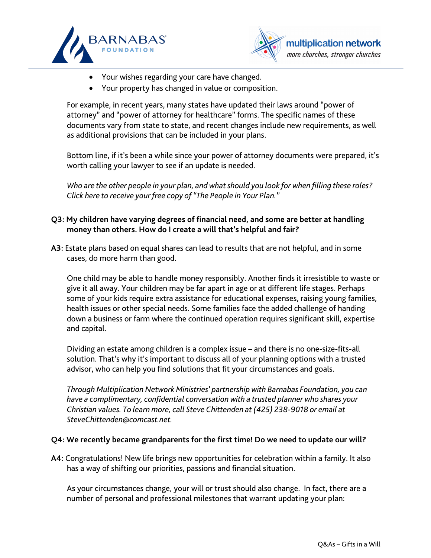



- Your wishes regarding your care have changed.
- Your property has changed in value or composition.

For example, in recent years, many states have updated their laws around "power of attorney" and "power of attorney for healthcare" forms. The specific names of these documents vary from state to state, and recent changes include new requirements, as well as additional provisions that can be included in your plans.

Bottom line, if it's been a while since your power of attorney documents were prepared, it's worth calling your lawyer to see if an update is needed.

*[Who are the other people in your plan, and what should you look for when filling these roles?](https://www.multiplicationnetwork.org/images/Barnabas_Planned_Giving/The_People_in_Your_Plan_Info_Sheet_-_MNM.pdf)  Click here to receive your free copy of "The People in Your Plan."*

## **Q3: My children have varying degrees of financial need, and some are better at handling money than others. How do I create a will that's helpful and fair?**

**A3:** Estate plans based on equal shares can lead to results that are not helpful, and in some cases, do more harm than good.

One child may be able to handle money responsibly. Another finds it irresistible to waste or give it all away. Your children may be far apart in age or at different life stages. Perhaps some of your kids require extra assistance for educational expenses, raising young families, health issues or other special needs. Some families face the added challenge of handing down a business or farm where the continued operation requires significant skill, expertise and capital.

Dividing an estate among children is a complex issue – and there is no one-size-fits-all solution. That's why it's important to discuss all of your planning options with a trusted advisor, who can help you find solutions that fit your circumstances and goals.

*Through Multiplication Network Ministries' partnership with Barnabas Foundation, you can have a complimentary, confidential conversation with a trusted planner who shares your Christian values. To learn more, call Steve Chittenden at (425) 238-9018 or email at SteveChittenden@comcast.net.*

## **Q4: We recently became grandparents for the first time! Do we need to update our will?**

**A4:** Congratulations! New life brings new opportunities for celebration within a family. It also has a way of shifting our priorities, passions and financial situation.

As your circumstances change, your will or trust should also change. In fact, there are a number of personal and professional milestones that warrant updating your plan: